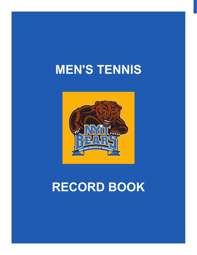# **men's tennis**



# **record book**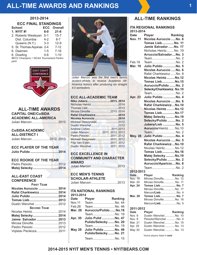# **All-Time Awards and Rankings**

#### **2013-2014**

| <b>ECC FINAL STANDINGS</b>                |            |                |  |  |  |
|-------------------------------------------|------------|----------------|--|--|--|
| <b>School</b>                             | <b>ECC</b> | <b>Overall</b> |  |  |  |
| 1. NYIT #!                                | $6-0$      | $21 - 6$       |  |  |  |
| 2. Roberts Wesleyan                       | $5 - 1$    | $15 - 7$       |  |  |  |
| Dist. Columbia                            | $4 - 2$    | $8 - 7$        |  |  |  |
| Queens (N.Y.)                             | $3 - 3$    | $12-9$         |  |  |  |
| 5. St. Thomas Aquinas 2-4                 |            | $7 - 12$       |  |  |  |
| 6. Daemen                                 | $1 - 5$    | $7 - 16$       |  |  |  |
| 6. Dowling                                | $0 - 6$    | $1 - 10$       |  |  |  |
| #ECC Champion; ! NCAA Tournament Partici- |            |                |  |  |  |

*#ECC Champion; ! NCAA Tournament Participant*



# **all-time awards CAPITAL ONE/CoSIDA ACADEMIC ALL-AMERICA**

Julian Marcon .............................2013

#### **CoSIDA ACADEMIC**

| <b>ALL-DISTRICT I</b>     |  |
|---------------------------|--|
| Julian Marcon  2012, 2013 |  |

| <b>ECC PLAYER OF THE YEAR</b> |  |
|-------------------------------|--|
| Julio Pulido  2014            |  |

#### **ECC Rookie of the Year** Pedro Peixoto.............................2012 **Matej Selecky............................2014**

#### **All-East Coast Conference**

| <b>FIRST TFAM</b>      |  |
|------------------------|--|
| Nicolas Auruccio  2014 |  |
| Rafal Charkiewicz 2014 |  |
| Julio Pulido  2014     |  |
| Tomas Lieb2013         |  |
| Dustin Wenchel  2012   |  |
| <b>SECOND TEAM</b>     |  |
| Nicolas Heintz 2014    |  |
| Matej Selecky2014      |  |
| Jaime Salvador  2013   |  |
| Mircea Dimofte.  2013  |  |
| Peidro Peixoto  2012   |  |
| Vojislav Pecikoza 2011 |  |
|                        |  |



*Julian Marcon was the first men's tennis student-athlete to receive Academic All-America honors after producing six straight 4.0 semesters.*

### **ECC All-Academic Team**

| Niko Jubera 2013, 2014         |  |  |
|--------------------------------|--|--|
|                                |  |  |
|                                |  |  |
| Mircea Dimofte 2013, 2014      |  |  |
| Rafal Charkiewicz2014          |  |  |
| Nicolas Auruccio 2014          |  |  |
| Micheal Sleszyneski 2012       |  |  |
|                                |  |  |
|                                |  |  |
| Julian Marcon 2011. 2012. 2013 |  |  |
| Pedro Peixoto2011, 2012        |  |  |
| Michael Slesyneski2011, 2012   |  |  |
|                                |  |  |
| Dustin Wenchel  2011, 2012     |  |  |

# **ECC EXCELLENCE IN COMMUNITY AND CHARACTER AWARD THUTE OF TH**

#### **ECC MEN'S TENNIS SCHOLAR-ATHLETE**

|  | Julian Marcon  2013 |
|--|---------------------|
|--|---------------------|

#### **iTA National Rankings 2013-2014**

| <b>Date</b>    | <b>Player</b>               | Ranking |
|----------------|-----------------------------|---------|
| <b>Nov.11</b>  | TeamNo. 44                  |         |
| Feb.26         | TeamNo. 46                  |         |
| <b>Mar. 26</b> | Auruccio/Pulido No.18       |         |
|                | TeamNo. 19                  |         |
| Apr. 30        | <b>Julio Pulid  No. 47</b>  |         |
|                | Pulido/Selecky No. 20       |         |
|                | TeamNo. 19                  |         |
| <b>May 28</b>  | <b>Julio Pulido  No. 46</b> |         |
|                | Pulido/Selecky No. 21       |         |
|                | TeamNo. 15                  |         |

# **all-time rankings**

|                          |               | <b>ITA REGIONAL RANKINGS</b>                 |         |
|--------------------------|---------------|----------------------------------------------|---------|
|                          | 2013-2014     |                                              |         |
|                          |               |                                              |         |
| Date                     | <b>Player</b> |                                              | Ranking |
| <b>Nov. 11</b>           |               | Nicolas Auruccio  No. 6                      |         |
|                          |               | <b>Tomas Lieb No. 11</b>                     |         |
|                          |               | Jamie Salvador No. 17                        |         |
|                          |               | Nicholas Heintz No. 19                       |         |
|                          |               | Arruccio/SalvadorNo. 3                       |         |
|                          |               | TeamNo. 2                                    |         |
| Feb.19                   |               | TeamNo. 2                                    |         |
| <b>Mar. 19</b>           |               | <b>Julio Pulido  No. 5</b>                   |         |
|                          |               | Nicolas Auruccio No. 6                       |         |
|                          |               | Rafal CharkiewiczNo. 8                       |         |
|                          |               | Nicolas HeintzNo.12                          |         |
|                          |               | <b>Tomas Lieb No.15</b>                      |         |
|                          |               | Auruccio/Pulido No. 2                        |         |
|                          |               | Selecky/Charkiewicz. No.10                   |         |
|                          |               | TeamNo. 2                                    |         |
| <b>Apr. 23</b>           |               | <b>Julio Pulido  No. 4</b>                   |         |
|                          |               | Nicolas Auruccio No. 6                       |         |
|                          |               |                                              |         |
|                          |               | Rafal CharkiewiczNo.10                       |         |
|                          |               | Nicolas HeintzNo.12                          |         |
|                          |               | <b>Tomas LiebNo.17</b>                       |         |
|                          |               | Matej Selecky  No.19                         |         |
|                          |               | Selecky/Pulido No. 2                         |         |
|                          |               | <b>Jubera/Lieb  No. 5</b>                    |         |
|                          |               | Auruccio/HeintzNo.10                         |         |
|                          |               | TeamNo. 2                                    |         |
| <b>May. 28</b>           |               | <b>Julio Pulido  No. 4</b>                   |         |
|                          |               | Nicolas Auruccio  No. 5                      |         |
|                          |               | Rafal CharkiewiczNo.10                       |         |
|                          |               | Nicolas Heintz No.12                         |         |
|                          |               | <b>Tomas Lieb No.16</b>                      |         |
|                          |               | Matej Selecky  No.19                         |         |
|                          |               | Selecky/Pulido No. 2                         |         |
|                          |               |                                              |         |
|                          |               | Auruccio/AparicioNo. 8                       |         |
|                          |               | TeamNo. 2                                    |         |
|                          | 2012-2013     |                                              |         |
| <b>Date</b>              | <b>Player</b> |                                              | Ranking |
| Nov. 16<br>Mar. 20       |               | Mircea DimofteNo. 12<br>Mircea DimofteNo. 11 |         |
|                          |               | Tomas Lieb  No. 7                            |         |
| <b>Apr. 24</b>           |               | Mircea DimofteNo. 17                         |         |
|                          |               | Marcon/LiebNo. 4                             |         |
| Mar. 29                  |               | Tomas Lieb  No. 7                            |         |
|                          |               | Mircea DimofteNo. 16                         |         |
|                          |               | Marcon/LiebNo. 5                             |         |
|                          |               |                                              |         |
|                          | 2011-2012     |                                              |         |
| Date                     | <b>Player</b> |                                              | Ranking |
| Nov. 9                   |               | Dustin WenchelNo. 10                         |         |
| Nov. 9                   |               | Peixoto/WenchelNo. 4                         |         |
| Mar. 21                  |               | Dustin WenchelNo. 15                         |         |
| Apr. 25<br><b>May 30</b> |               | Dustin WenchelNo. 13                         |         |
|                          |               | Dustin WenchelNo. 13                         |         |

*\*Active players listed in bold*